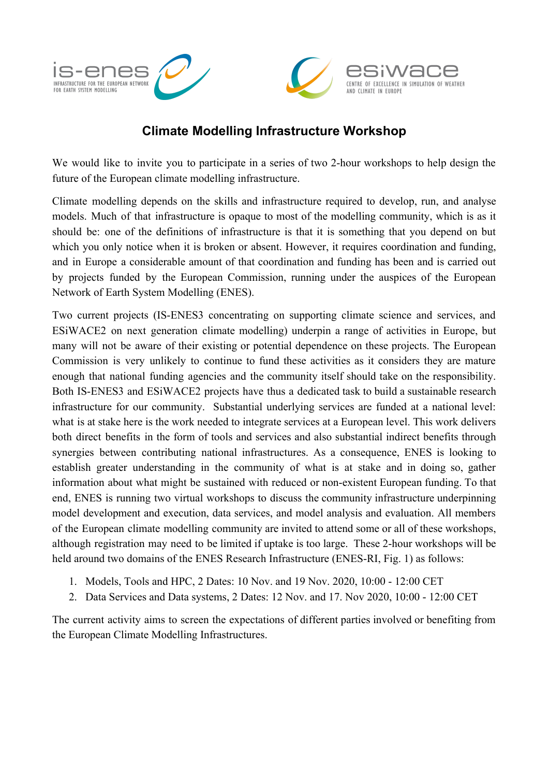

## **Climate Modelling Infrastructure Workshop**

We would like to invite you to participate in a series of two 2-hour workshops to help design the future of the European climate modelling infrastructure.

Climate modelling depends on the skills and infrastructure required to develop, run, and analyse models. Much of that infrastructure is opaque to most of the modelling community, which is as it should be: one of the definitions of infrastructure is that it is something that you depend on but which you only notice when it is broken or absent. However, it requires coordination and funding, and in Europe a considerable amount of that coordination and funding has been and is carried out by projects funded by the European Commission, running under the auspices of the European Network of Earth System Modelling (ENES).

Two current projects (IS-ENES3 concentrating on supporting climate science and services, and ESiWACE2 on next generation climate modelling) underpin a range of activities in Europe, but many will not be aware of their existing or potential dependence on these projects. The European Commission is very unlikely to continue to fund these activities as it considers they are mature enough that national funding agencies and the community itself should take on the responsibility. Both IS-ENES3 and ESiWACE2 projects have thus a dedicated task to build a sustainable research infrastructure for our community. Substantial underlying services are funded at a national level: what is at stake here is the work needed to integrate services at a European level. This work delivers both direct benefits in the form of tools and services and also substantial indirect benefits through synergies between contributing national infrastructures. As a consequence, ENES is looking to establish greater understanding in the community of what is at stake and in doing so, gather information about what might be sustained with reduced or non-existent European funding. To that end, ENES is running two virtual workshops to discuss the community infrastructure underpinning model development and execution, data services, and model analysis and evaluation. All members of the European climate modelling community are invited to attend some or all of these workshops, although registration may need to be limited if uptake is too large. These 2-hour workshops will be held around two domains of the ENES Research Infrastructure (ENES-RI, Fig. 1) as follows:

- 1. Models, Tools and HPC, 2 Dates: 10 Nov. and 19 Nov. 2020, 10:00 12:00 CET
- 2. Data Services and Data systems, 2 Dates: 12 Nov. and 17. Nov 2020, 10:00 12:00 CET

The current activity aims to screen the expectations of different parties involved or benefiting from the European Climate Modelling Infrastructures.